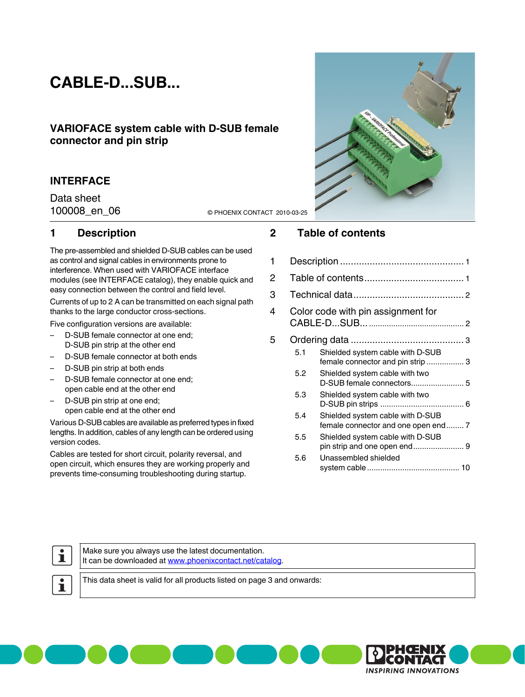# **CABLE-D...SUB...**

## **VARIOFACE system cable with D-SUB female connector and pin strip**

## **INTERFACE**

Data sheet

100008\_en\_06 © PHOENIX CONTACT 2010-03-25

## <span id="page-0-0"></span>**1 Description**

The pre-assembled and shielded D-SUB cables can be used as control and signal cables in environments prone to interference. When used with VARIOFACE interface modules (see INTERFACE catalog), they enable quick and easy connection between the control and field level.

Currents of up to 2 A can be transmitted on each signal path thanks to the large conductor cross-sections.

Five configuration versions are available:

- D-SUB female connector at one end; D-SUB pin strip at the other end
- D-SUB female connector at both ends
- D-SUB pin strip at both ends
- D-SUB female connector at one end; open cable end at the other end
- D-SUB pin strip at one end; open cable end at the other end

Various D-SUB cables are available as preferred types in fixed lengths. In addition, cables of any length can be ordered using version codes.

Cables are tested for short circuit, polarity reversal, and open circuit, which ensures they are working properly and prevents time-consuming troubleshooting during startup.



# <span id="page-0-1"></span>**2 Table of contents**

| 1 |     |                                                                         |  |  |  |  |
|---|-----|-------------------------------------------------------------------------|--|--|--|--|
| 2 |     |                                                                         |  |  |  |  |
| 3 |     |                                                                         |  |  |  |  |
| 4 |     | Color code with pin assignment for                                      |  |  |  |  |
| 5 |     |                                                                         |  |  |  |  |
|   | 5.1 | Shielded system cable with D-SUB<br>female connector and pin strip  3   |  |  |  |  |
|   | 5.2 | Shielded system cable with two                                          |  |  |  |  |
|   | 5.3 | Shielded system cable with two                                          |  |  |  |  |
|   | 5.4 | Shielded system cable with D-SUB<br>female connector and one open end 7 |  |  |  |  |
|   | 5.5 | Shielded system cable with D-SUB<br>pin strip and one open end 9        |  |  |  |  |
|   | 5.6 | Unassembled shielded                                                    |  |  |  |  |
|   |     |                                                                         |  |  |  |  |



Make sure you always use the latest documentation. It can be downloaded at [www.phoenixcontact.net/catalog](http://www.phoenixcontact.net/catalog).

 $\overline{\mathbf{1}}$ 

This data sheet is valid for all products listed on [page 3](#page-2-0) and onwards:

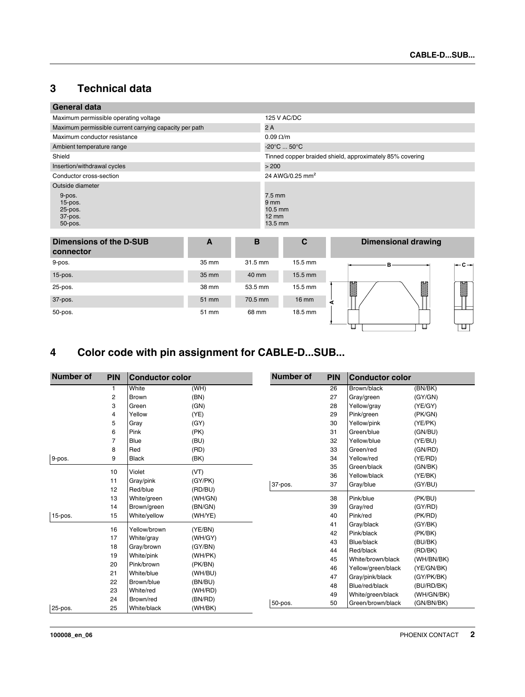# <span id="page-1-0"></span>**3 Technical data**

| <b>General data</b>                                    |       |                                                                                |                                  |                                                          |  |  |
|--------------------------------------------------------|-------|--------------------------------------------------------------------------------|----------------------------------|----------------------------------------------------------|--|--|
| Maximum permissible operating voltage                  |       | 125 V AC/DC                                                                    |                                  |                                                          |  |  |
| Maximum permissible current carrying capacity per path |       |                                                                                | 2A                               |                                                          |  |  |
| Maximum conductor resistance                           |       |                                                                                | $0.09 \Omega/m$                  |                                                          |  |  |
| Ambient temperature range                              |       |                                                                                | $-20^{\circ}$ C  50 $^{\circ}$ C |                                                          |  |  |
| Shield                                                 |       |                                                                                |                                  | Tinned copper braided shield, approximately 85% covering |  |  |
| Insertion/withdrawal cycles                            |       |                                                                                | > 200                            |                                                          |  |  |
| Conductor cross-section                                |       |                                                                                | 24 AWG/0.25 mm <sup>2</sup>      |                                                          |  |  |
| Outside diameter                                       |       |                                                                                |                                  |                                                          |  |  |
| 9-pos.<br>$15$ -pos.<br>25-pos.<br>37-pos.<br>50-pos.  |       | $7.5 \text{ mm}$<br>9 <sub>mm</sub><br>$10.5$ mm<br>$12 \text{ mm}$<br>13.5 mm |                                  |                                                          |  |  |
| <b>Dimensions of the D-SUB</b><br>connector            | A     | B                                                                              | $\mathbf{C}$                     | <b>Dimensional drawing</b>                               |  |  |
| 9-pos.                                                 | 35 mm | 31.5 mm                                                                        | 15.5 mm                          | в<br>·c→                                                 |  |  |
| $15$ -pos.                                             | 35 mm | 40 mm                                                                          | 15.5 mm                          |                                                          |  |  |
| 25-pos.                                                | 38 mm | 53.5 mm                                                                        | 15.5 mm                          | M<br>Ø                                                   |  |  |
| 37-pos.                                                | 51 mm | 70.5 mm                                                                        | $16 \text{ mm}$                  | ⋖                                                        |  |  |
| 50-pos.                                                | 51 mm | 68 mm                                                                          | 18.5 mm                          | U<br>u                                                   |  |  |

# <span id="page-1-1"></span>**4 Color code with pin assignment for CABLE-D...SUB...**

| <b>Number of</b> | <b>PIN</b>     | <b>Conductor color</b> |         | <b>Number of</b> | <b>PIN</b> | <b>Conductor color</b> |            |
|------------------|----------------|------------------------|---------|------------------|------------|------------------------|------------|
|                  | 1              | White                  | (WH)    |                  | 26         | Brown/black            | (BN/BK)    |
|                  | $\overline{2}$ | Brown                  | (BN)    |                  | 27         | Gray/green             | (GY/GN)    |
|                  | 3              | Green                  | (GN)    |                  | 28         | Yellow/gray            | (YE/GY)    |
|                  | 4              | Yellow                 | (YE)    |                  | 29         | Pink/green             | (PK/GN)    |
|                  | 5              | Gray                   | (GY)    |                  | 30         | Yellow/pink            | (YE/PK)    |
|                  | 6              | Pink                   | (PK)    |                  | 31         | Green/blue             | (GN/BU)    |
|                  | 7              | <b>Blue</b>            | (BU)    |                  | 32         | Yellow/blue            | (YE/BU)    |
|                  | 8              | Red                    | (RD)    |                  | 33         | Green/red              | (GN/RD)    |
| 9-pos.           | 9              | <b>Black</b>           | (BK)    |                  | 34         | Yellow/red             | (YE/RD)    |
|                  |                |                        |         |                  | 35         | Green/black            | (GN/BK)    |
|                  | 10             | Violet                 | (VT)    |                  | 36         | Yellow/black           | (YE/BK)    |
|                  | 11             | Gray/pink              | (GY/PK) | 37-pos.          | 37         | Gray/blue              | (GY/BU)    |
|                  | 12<br>13       | Red/blue               | (RD/BU) |                  | 38         | Pink/blue              |            |
|                  | 14             | White/green            | (WH/GN) |                  |            |                        | (PK/BU)    |
|                  |                | Brown/green            | (BN/GN) |                  | 39         | Gray/red<br>Pink/red   | (GY/RD)    |
| $15$ -pos.       | 15             | White/yellow           | (WH/YE) |                  | 40<br>41   |                        | (PK/RD)    |
|                  | 16             | Yellow/brown           | (YE/BN) |                  |            | Gray/black             | (GY/BK)    |
|                  | 17             | White/gray             | (WH/GY) |                  | 42         | Pink/black             | (PK/BK)    |
|                  | 18             | Gray/brown             | (GY/BN) |                  | 43         | Blue/black             | (BU/BK)    |
|                  | 19             | White/pink             | (WH/PK) |                  | 44         | Red/black              | (RD/BK)    |
|                  | 20             | Pink/brown             | (PK/BN) |                  | 45         | White/brown/black      | (WH/BN/BK) |
|                  | 21             | White/blue             | (WH/BU) |                  | 46         | Yellow/green/black     | (YE/GN/BK) |
|                  | 22             | Brown/blue             | (BN/BU) |                  | 47         | Gray/pink/black        | (GY/PK/BK) |
|                  | 23             | White/red              | (WH/RD) |                  | 48         | Blue/red/black         | (BU/RD/BK) |
|                  | 24             | Brown/red              | (BN/RD) |                  | 49         | White/green/black      | (WH/GN/BK) |
| 25-pos.          | 25             | White/black            | (WH/BK) | 50-pos.          | 50         | Green/brown/black      | (GN/BN/BK) |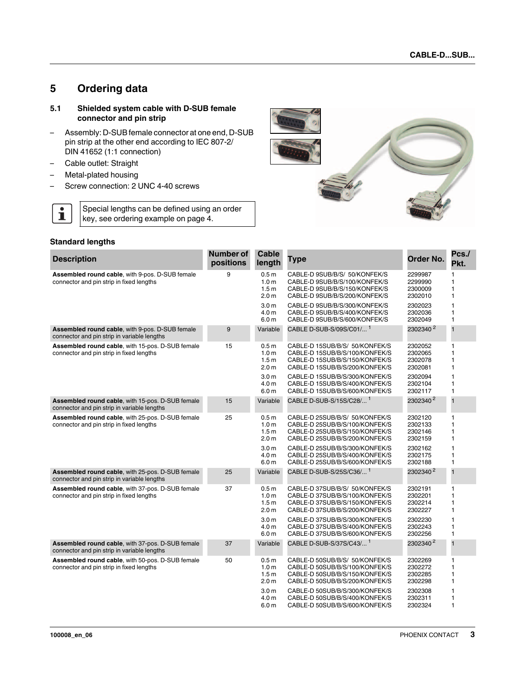# <span id="page-2-0"></span>**5 Ordering data**

#### <span id="page-2-1"></span>**5.1 Shielded system cable with D-SUB female connector and pin strip**

- Assembly: D-SUB female connector at one end, D-SUB pin strip at the other end according to IEC 807-2/ DIN 41652 (1:1 connection)
- Cable outlet: Straight
- Metal-plated housing
- Screw connection: 2 UNC 4-40 screws

Special lengths can be defined using an order key, see ordering example on page 4.



#### **Standard lengths**

 $\overline{\mathbf{i}}$ 

| <b>Description</b>                                                                                 | Number of<br>positions | Cable<br>length                                                              | <b>Type</b>                                                                                                                          | Order No.                                | Pcs./<br>Pkt.                     |
|----------------------------------------------------------------------------------------------------|------------------------|------------------------------------------------------------------------------|--------------------------------------------------------------------------------------------------------------------------------------|------------------------------------------|-----------------------------------|
| <b>Assembled round cable, with 9-pos. D-SUB female</b><br>connector and pin strip in fixed lengths | 9                      | 0.5 <sub>m</sub><br>1.0 <sub>m</sub><br>1.5 <sub>m</sub><br>2.0 <sub>m</sub> | CABLE-D 9SUB/B/S/ 50/KONFEK/S<br>CABLE-D 9SUB/B/S/100/KONFEK/S<br>CABLE-D 9SUB/B/S/150/KONFEK/S<br>CABLE-D 9SUB/B/S/200/KONFEK/S     | 2299987<br>2299990<br>2300009<br>2302010 | 1<br>1<br>1<br>1                  |
|                                                                                                    |                        | 3.0 <sub>m</sub><br>4.0 <sub>m</sub><br>6.0 <sub>m</sub>                     | CABLE-D 9SUB/B/S/300/KONFEK/S<br>CABLE-D 9SUB/B/S/400/KONFEK/S<br>CABLE-D 9SUB/B/S/600/KONFEK/S                                      | 2302023<br>2302036<br>2302049            | 1<br>1<br>1                       |
| Assembled round cable, with 9-pos. D-SUB female<br>connector and pin strip in variable lengths     | 9                      | Variable                                                                     | CABLE D-SUB-S/09S/C01/ <sup>1</sup>                                                                                                  | 2302340 <sup>2</sup>                     | $\mathbf{1}$                      |
| Assembled round cable, with 15-pos. D-SUB female<br>connector and pin strip in fixed lengths       | 15                     | 0.5 <sub>m</sub><br>1.0 <sub>m</sub><br>1.5 <sub>m</sub><br>2.0 <sub>m</sub> | CABLE-D 15SUB/B/S/ 50/KONFEK/S<br>CABLE-D 15SUB/B/S/100/KONFEK/S<br>CABLE-D 15SUB/B/S/150/KONFEK/S<br>CABLE-D 15SUB/B/S/200/KONFEK/S | 2302052<br>2302065<br>2302078<br>2302081 | 1<br>1<br>1<br>1                  |
|                                                                                                    |                        | 3.0 <sub>m</sub><br>4.0 <sub>m</sub><br>6.0 <sub>m</sub>                     | CABLE-D 15SUB/B/S/300/KONFEK/S<br>CABLE-D 15SUB/B/S/400/KONFEK/S<br>CABLE-D 15SUB/B/S/600/KONFEK/S                                   | 2302094<br>2302104<br>2302117            | 1<br>1<br>1                       |
| Assembled round cable, with 15-pos. D-SUB female<br>connector and pin strip in variable lengths    | 15                     | Variable                                                                     | CABLE D-SUB-S/15S/C28/ <sup>1</sup>                                                                                                  | 2302340 <sup>2</sup>                     | $\mathbf{1}$                      |
| Assembled round cable, with 25-pos. D-SUB female<br>connector and pin strip in fixed lengths       | 25                     | 0.5 <sub>m</sub><br>1.0 <sub>m</sub><br>1.5 <sub>m</sub><br>2.0 <sub>m</sub> | CABLE-D 25SUB/B/S/ 50/KONFEK/S<br>CABLE-D 25SUB/B/S/100/KONFEK/S<br>CABLE-D 25SUB/B/S/150/KONFEK/S<br>CABLE-D 25SUB/B/S/200/KONFEK/S | 2302120<br>2302133<br>2302146<br>2302159 | $\mathbf{1}$<br>1<br>1<br>1       |
|                                                                                                    |                        | 3.0 <sub>m</sub><br>4.0 <sub>m</sub><br>6.0 <sub>m</sub>                     | CABLE-D 25SUB/B/S/300/KONFEK/S<br>CABLE-D 25SUB/B/S/400/KONFEK/S<br>CABLE-D 25SUB/B/S/600/KONFEK/S                                   | 2302162<br>2302175<br>2302188            | $\mathbf{1}$<br>1<br>1            |
| Assembled round cable, with 25-pos. D-SUB female<br>connector and pin strip in variable lengths    | 25                     | Variable                                                                     | CABLE D-SUB-S/25S/C36/ <sup>1</sup>                                                                                                  | 2302340 <sup>2</sup>                     | $\overline{1}$                    |
| Assembled round cable, with 37-pos. D-SUB female<br>connector and pin strip in fixed lengths       | 37                     | 0.5 <sub>m</sub><br>1.0 <sub>m</sub><br>1.5 <sub>m</sub><br>2.0 <sub>m</sub> | CABLE-D 37SUB/B/S/ 50/KONFEK/S<br>CABLE-D 37SUB/B/S/100/KONFEK/S<br>CABLE-D 37SUB/B/S/150/KONFEK/S<br>CABLE-D 37SUB/B/S/200/KONFEK/S | 2302191<br>2302201<br>2302214<br>2302227 | $\mathbf{1}$<br>1<br>1<br>1       |
|                                                                                                    |                        | 3.0 <sub>m</sub><br>4.0 <sub>m</sub><br>6.0 <sub>m</sub>                     | CABLE-D 37SUB/B/S/300/KONFEK/S<br>CABLE-D 37SUB/B/S/400/KONFEK/S<br>CABLE-D 37SUB/B/S/600/KONFEK/S                                   | 2302230<br>2302243<br>2302256            | 1<br>1<br>$\mathbf{1}$            |
| Assembled round cable, with 37-pos. D-SUB female<br>connector and pin strip in variable lengths    | 37                     | Variable                                                                     | CABLE D-SUB-S/37S/C43/ <sup>1</sup>                                                                                                  | 2302340 <sup>2</sup>                     | $\overline{\mathbf{1}}$           |
| Assembled round cable, with 50-pos. D-SUB female<br>connector and pin strip in fixed lengths       | 50                     | 0.5 <sub>m</sub><br>1.0 <sub>m</sub><br>1.5 <sub>m</sub><br>2.0 <sub>m</sub> | CABLE-D 50SUB/B/S/ 50/KONFEK/S<br>CABLE-D 50SUB/B/S/100/KONFEK/S<br>CABLE-D 50SUB/B/S/150/KONFEK/S<br>CABLE-D 50SUB/B/S/200/KONFEK/S | 2302269<br>2302272<br>2302285<br>2302298 | $\mathbf{1}$<br>1<br>1<br>1       |
|                                                                                                    |                        | 3.0 <sub>m</sub><br>4.0 <sub>m</sub><br>6.0 <sub>m</sub>                     | CABLE-D 50SUB/B/S/300/KONFEK/S<br>CABLE-D 50SUB/B/S/400/KONFEK/S<br>CABLE-D 50SUB/B/S/600/KONFEK/S                                   | 2302308<br>2302311<br>2302324            | $\mathbf{1}$<br>1<br>$\mathbf{1}$ |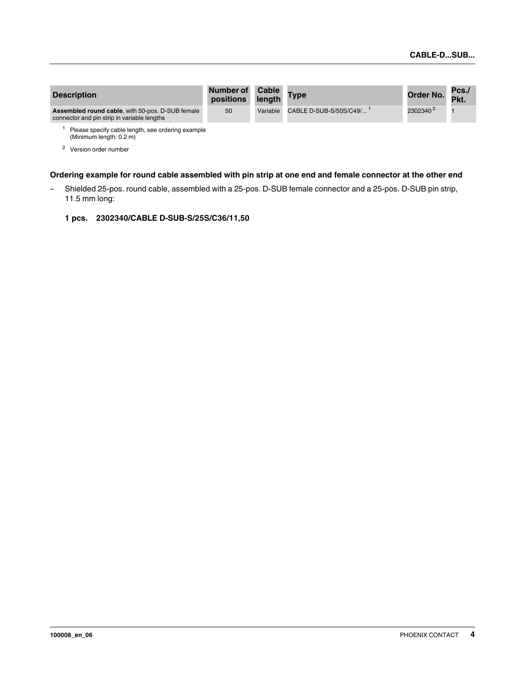| <b>Description</b>                                                                              | Number of Cable<br>positions length Type |                                 | Order No. Pkt.       | Pcs. |
|-------------------------------------------------------------------------------------------------|------------------------------------------|---------------------------------|----------------------|------|
| Assembled round cable, with 50-pos. D-SUB female<br>connector and pin strip in variable lengths | 50                                       | Variable CABLE D-SUB-S/50S/C49/ | 2302340 <sup>2</sup> |      |
| Blogge aposity cable length, and ardering example                                               |                                          |                                 |                      |      |

length, see ordering example (Minimum length: 0.2 m)

<sup>2</sup> Version order number

#### **Ordering example for round cable assembled with pin strip at one end and female connector at the other end**

- Shielded 25-pos. round cable, assembled with a 25-pos. D-SUB female connector and a 25-pos. D-SUB pin strip, 11.5 mm long:
	- **1 pcs. 2302340/CABLE D-SUB-S/25S/C36/11,50**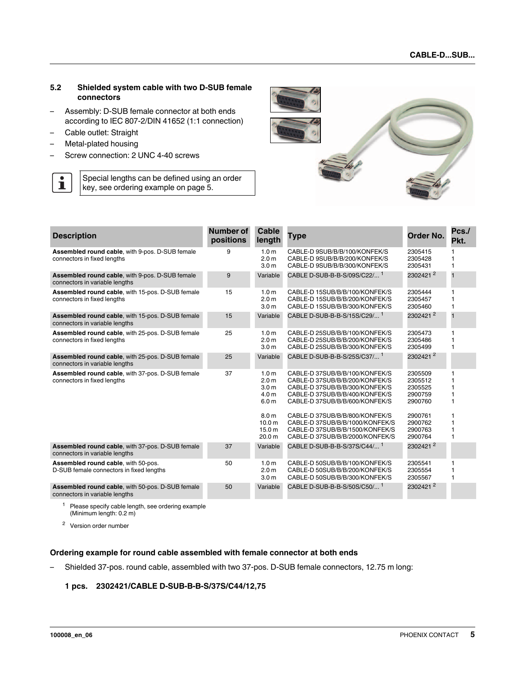#### <span id="page-4-0"></span>**5.2 Shielded system cable with two D-SUB female connectors**

- Assembly: D-SUB female connector at both ends according to IEC 807-2/DIN 41652 (1:1 connection)
- Cable outlet: Straight
- Metal-plated housing
- Screw connection: 2 UNC 4-40 screws
- $\overline{\mathbf{i}}$ Special lengths can be defined using an order key, see ordering example on [page 5.](#page-4-1)



| <b>Description</b>                                                                 | Number of<br>positions | <b>Cable</b><br>length                                                                           | Type                                                                                                                                                                   | Order No.                                           | Pcs./<br>Pkt.         |
|------------------------------------------------------------------------------------|------------------------|--------------------------------------------------------------------------------------------------|------------------------------------------------------------------------------------------------------------------------------------------------------------------------|-----------------------------------------------------|-----------------------|
| Assembled round cable, with 9-pos. D-SUB female<br>connectors in fixed lengths     | 9                      | 1.0 <sub>m</sub><br>2.0 <sub>m</sub><br>3.0 <sub>m</sub>                                         | CABLE-D 9SUB/B/B/100/KONFEK/S<br>CABLE-D 9SUB/B/B/200/KONFEK/S<br>CABLE-D 9SUB/B/B/300/KONFEK/S                                                                        | 2305415<br>2305428<br>2305431                       | 1                     |
| Assembled round cable, with 9-pos. D-SUB female<br>connectors in variable lengths  | 9                      | Variable                                                                                         | CABLE D-SUB-B-B-S/09S/C22/ <sup>1</sup>                                                                                                                                | 2302421 <sup>2</sup>                                | $\mathbf{1}$          |
| Assembled round cable, with 15-pos. D-SUB female<br>connectors in fixed lengths    | 15                     | 1.0 <sub>m</sub><br>2.0 <sub>m</sub><br>3.0 <sub>m</sub>                                         | CABLE-D 15SUB/B/B/100/KONFEK/S<br>CABLE-D 15SUB/B/B/200/KONFEK/S<br>CABLE-D 15SUB/B/B/300/KONFEK/S                                                                     | 2305444<br>2305457<br>2305460                       | 1<br>1<br>1           |
| Assembled round cable, with 15-pos. D-SUB female<br>connectors in variable lengths | 15                     | Variable                                                                                         | CABLE D-SUB-B-B-S/15S/C29/ <sup>1</sup>                                                                                                                                | 2302421 <sup>2</sup>                                | $\overline{1}$        |
| Assembled round cable, with 25-pos. D-SUB female<br>connectors in fixed lengths    | 25                     | 1.0 <sub>m</sub><br>2.0 <sub>m</sub><br>3.0 <sub>m</sub>                                         | CABLE-D 25SUB/B/B/100/KONFEK/S<br>CABLE-D 25SUB/B/B/200/KONFEK/S<br>CABLE-D 25SUB/B/B/300/KONFEK/S                                                                     | 2305473<br>2305486<br>2305499                       | 1<br>1                |
| Assembled round cable, with 25-pos. D-SUB female<br>connectors in variable lengths | 25                     | Variable                                                                                         | CABLE D-SUB-B-B-S/25S/C37/ <sup>1</sup>                                                                                                                                | 23024212                                            |                       |
| Assembled round cable, with 37-pos. D-SUB female<br>connectors in fixed lengths    | 37                     | 1.0 <sub>m</sub><br>2.0 <sub>m</sub><br>3.0 <sub>m</sub><br>4.0 <sub>m</sub><br>6.0 <sub>m</sub> | CABLE-D 37SUB/B/B/100/KONFEK/S<br>CABLE-D 37SUB/B/B/200/KONFEK/S<br>CABLE-D 37SUB/B/B/300/KONFEK/S<br>CABLE-D 37SUB/B/B/400/KONFEK/S<br>CABLE-D 37SUB/B/B/600/KONFEK/S | 2305509<br>2305512<br>2305525<br>2900759<br>2900760 | 1<br>1<br>1<br>1<br>1 |
|                                                                                    |                        | 8.0 <sub>m</sub><br>10.0 <sub>m</sub><br>15.0 <sub>m</sub><br>20.0 m                             | CABLE-D 37SUB/B/B/800/KONFEK/S<br>CABLE-D 37SUB/B/B/1000/KONFEK/S<br>CABLE-D 37SUB/B/B/1500/KONFEK/S<br>CABLE-D 37SUB/B/B/2000/KONFEK/S                                | 2900761<br>2900762<br>2900763<br>2900764            | 1<br>1<br>1<br>1      |
| Assembled round cable, with 37-pos. D-SUB female<br>connectors in variable lengths | 37                     | Variable                                                                                         | CABLE D-SUB-B-B-S/37S/C44/ <sup>1</sup>                                                                                                                                | 23024212                                            |                       |
| Assembled round cable, with 50-pos.<br>D-SUB female connectors in fixed lengths    | 50                     | 1.0 <sub>m</sub><br>2.0 <sub>m</sub><br>3.0 <sub>m</sub>                                         | CABLE-D 50SUB/B/B/100/KONFEK/S<br>CABLE-D 50SUB/B/B/200/KONFEK/S<br>CABLE-D 50SUB/B/B/300/KONFEK/S                                                                     | 2305541<br>2305554<br>2305567                       | 1<br>1<br>1           |
| Assembled round cable, with 50-pos. D-SUB female<br>connectors in variable lengths | 50                     | Variable                                                                                         | CABLE D-SUB-B-B-S/50S/C50/ <sup>1</sup>                                                                                                                                | 23024212                                            |                       |

<sup>1</sup> Please specify cable length, see ordering example (Minimum length: 0.2 m)

<sup>2</sup> Version order number

#### <span id="page-4-1"></span>**Ordering example for round cable assembled with female connector at both ends**

– Shielded 37-pos. round cable, assembled with two 37-pos. D-SUB female connectors, 12.75 m long:

#### **1 pcs. 2302421/CABLE D-SUB-B-B-S/37S/C44/12,75**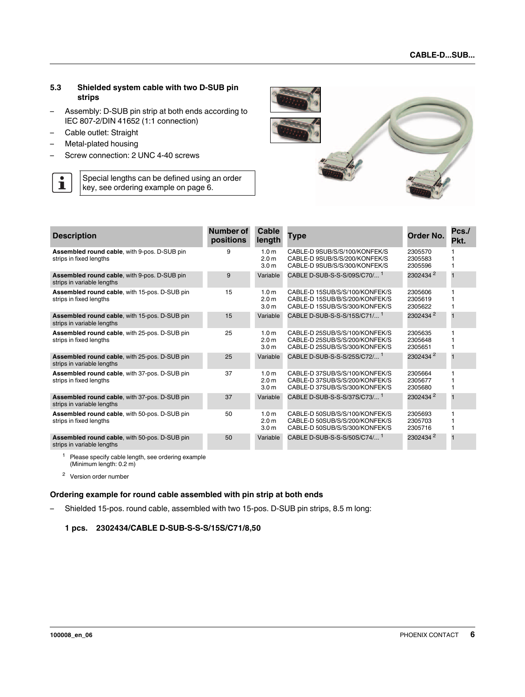#### <span id="page-5-0"></span>**5.3 Shielded system cable with two D-SUB pin strips**

- Assembly: D-SUB pin strip at both ends according to IEC 807-2/DIN 41652 (1:1 connection)
- Cable outlet: Straight
- Metal-plated housing

 $\overline{\mathbf{i}}$ 

– Screw connection: 2 UNC 4-40 screws

Special lengths can be defined using an order key, see ordering example on [page 6.](#page-5-1)



| <b>Description</b>                                                          | Number of<br>positions | Cable<br>length                                          | Type                                                                                               | Order No.                     | Pcs./<br>Pkt. |
|-----------------------------------------------------------------------------|------------------------|----------------------------------------------------------|----------------------------------------------------------------------------------------------------|-------------------------------|---------------|
| Assembled round cable, with 9-pos. D-SUB pin<br>strips in fixed lengths     | 9                      | 1.0 <sub>m</sub><br>2.0 <sub>m</sub><br>3.0 <sub>m</sub> | CABLE-D 9SUB/S/S/100/KONFEK/S<br>CABLE-D 9SUB/S/S/200/KONFEK/S<br>CABLE-D 9SUB/S/S/300/KONFEK/S    | 2305570<br>2305583<br>2305596 |               |
| Assembled round cable, with 9-pos. D-SUB pin<br>strips in variable lengths  | 9                      | Variable                                                 | CABLE D-SUB-S-S-S/09S/C70/ <sup>1</sup>                                                            | 2302434 <sup>2</sup>          | 1             |
| Assembled round cable, with 15-pos. D-SUB pin<br>strips in fixed lengths    | 15                     | 1.0 <sub>m</sub><br>2.0 <sub>m</sub><br>3.0 <sub>m</sub> | CABLE-D 15SUB/S/S/100/KONFEK/S<br>CABLE-D 15SUB/B/S/200/KONFEK/S<br>CABLE-D 15SUB/S/S/300/KONFEK/S | 2305606<br>2305619<br>2305622 |               |
| Assembled round cable, with 15-pos. D-SUB pin<br>strips in variable lengths | 15                     | Variable                                                 | CABLE D-SUB-S-S-S/15S/C71/ <sup>1</sup>                                                            | 2302434 <sup>2</sup>          | $\mathbf 1$   |
| Assembled round cable, with 25-pos. D-SUB pin<br>strips in fixed lengths    | 25                     | 1.0 <sub>m</sub><br>2.0 <sub>m</sub><br>3.0 <sub>m</sub> | CABLE-D 25SUB/S/S/100/KONFEK/S<br>CABLE-D 25SUB/S/S/200/KONFEK/S<br>CABLE-D 25SUB/S/S/300/KONFEK/S | 2305635<br>2305648<br>2305651 |               |
| Assembled round cable, with 25-pos. D-SUB pin<br>strips in variable lengths | 25                     | Variable                                                 | CABLE D-SUB-S-S-S/25S/C72/ <sup>1</sup>                                                            | 2302434 <sup>2</sup>          |               |
| Assembled round cable, with 37-pos. D-SUB pin<br>strips in fixed lengths    | 37                     | 1.0 <sub>m</sub><br>2.0 <sub>m</sub><br>3.0 <sub>m</sub> | CABLE-D 37SUB/S/S/100/KONFEK/S<br>CABLE-D 37SUB/S/S/200/KONFEK/S<br>CABLE-D 37SUB/S/S/300/KONFEK/S | 2305664<br>2305677<br>2305680 |               |
| Assembled round cable, with 37-pos. D-SUB pin<br>strips in variable lengths | 37                     | Variable                                                 | CABLE D-SUB-S-S-S/37S/C73/ <sup>1</sup>                                                            | 2302434 <sup>2</sup>          | 1             |
| Assembled round cable, with 50-pos. D-SUB pin<br>strips in fixed lengths    | 50                     | 1.0 <sub>m</sub><br>2.0 <sub>m</sub><br>3.0 <sub>m</sub> | CABLE-D 50SUB/S/S/100/KONFEK/S<br>CABLE-D 50SUB/S/S/200/KONFEK/S<br>CABLE-D 50SUB/S/S/300/KONFEK/S | 2305693<br>2305703<br>2305716 |               |
| Assembled round cable, with 50-pos. D-SUB pin<br>strips in variable lengths | 50                     | Variable                                                 | CABLE D-SUB-S-S-S/50S/C74/ <sup>1</sup>                                                            | 2302434 <sup>2</sup>          | 1             |

<sup>1</sup> Please specify cable length, see ordering example (Minimum length: 0.2 m)

<sup>2</sup> Version order number

#### <span id="page-5-1"></span>**Ordering example for round cable assembled with pin strip at both ends**

– Shielded 15-pos. round cable, assembled with two 15-pos. D-SUB pin strips, 8.5 m long:

**1 pcs. 2302434/CABLE D-SUB-S-S-S/15S/C71/8,50**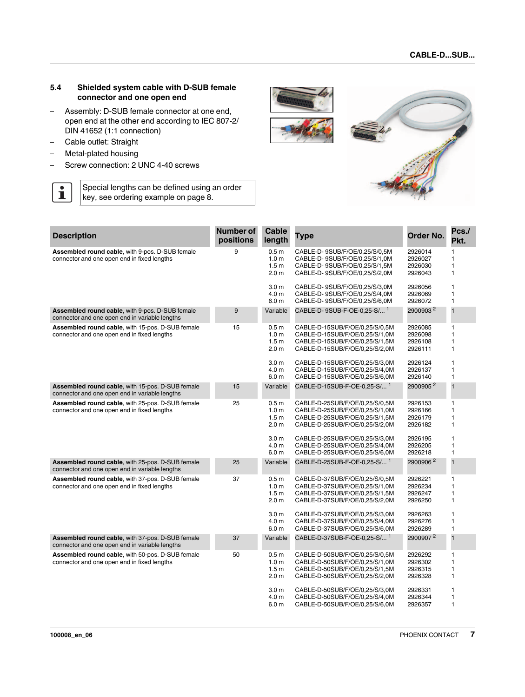#### <span id="page-6-0"></span>**5.4 Shielded system cable with D-SUB female connector and one open end**

- Assembly: D-SUB female connector at one end, open end at the other end according to IEC 807-2/ DIN 41652 (1:1 connection)
- Cable outlet: Straight
- Metal-plated housing
- Screw connection: 2 UNC 4-40 screws

Special lengths can be defined using an order  $\overline{\mathbf{i}}$ key, see ordering example on page 8.



| <b>Description</b>                                                                                       | <b>Number of</b><br>positions | Cable<br>length                                                              | Type                                                                                                                                 | Order No.                                | Pcs./<br>Pkt.                                                |
|----------------------------------------------------------------------------------------------------------|-------------------------------|------------------------------------------------------------------------------|--------------------------------------------------------------------------------------------------------------------------------------|------------------------------------------|--------------------------------------------------------------|
| Assembled round cable, with 9-pos. D-SUB female<br>connector and one open end in fixed lengths           | 9                             | 0.5 <sub>m</sub><br>1.0 <sub>m</sub><br>1.5 <sub>m</sub><br>2.0 <sub>m</sub> | CABLE-D-9SUB/F/OE/0,25/S/0,5M<br>CABLE-D-9SUB/F/OE/0,25/S/1,0M<br>CABLE-D-9SUB/F/OE/0,25/S/1,5M<br>CABLE-D-9SUB/F/OE/0,25/S/2,0M     | 2926014<br>2926027<br>2926030<br>2926043 | $\mathbf{1}$<br>$\mathbf{1}$<br>$\mathbf{1}$<br>$\mathbf{1}$ |
|                                                                                                          |                               | 3.0 <sub>m</sub><br>4.0 <sub>m</sub><br>6.0 <sub>m</sub>                     | CABLE-D-9SUB/F/OE/0,25/S/3,0M<br>CABLE-D-9SUB/F/OE/0,25/S/4,0M<br>CABLE-D-9SUB/F/OE/0,25/S/6,0M                                      | 2926056<br>2926069<br>2926072            | $\mathbf{1}$<br>$\mathbf{1}$<br>$\mathbf{1}$                 |
| <b>Assembled round cable, with 9-pos. D-SUB female</b><br>connector and one open end in variable lengths | 9                             | Variable                                                                     | CABLE-D-9SUB-F-OE-0.25-S/ <sup>1</sup>                                                                                               | 2900903 <sup>2</sup>                     | $\mathbf{1}$                                                 |
| Assembled round cable, with 15-pos. D-SUB female<br>connector and one open end in fixed lengths          | 15                            | 0.5 <sub>m</sub><br>1.0 <sub>m</sub><br>1.5 <sub>m</sub><br>2.0 <sub>m</sub> | CABLE-D-15SUB/F/OE/0,25/S/0,5M<br>CABLE-D-15SUB/F/OE/0,25/S/1,0M<br>CABLE-D-15SUB/F/OE/0,25/S/1,5M<br>CABLE-D-15SUB/F/OE/0,25/S/2,0M | 2926085<br>2926098<br>2926108<br>2926111 | 1<br>$\mathbf{1}$<br>$\mathbf{1}$<br>$\mathbf{1}$            |
|                                                                                                          |                               | 3.0 <sub>m</sub><br>4.0 m<br>6.0 <sub>m</sub>                                | CABLE-D-15SUB/F/OE/0,25/S/3,0M<br>CABLE-D-15SUB/F/OE/0,25/S/4,0M<br>CABLE-D-15SUB/F/OE/0,25/S/6,0M                                   | 2926124<br>2926137<br>2926140            | $\mathbf{1}$<br>$\mathbf{1}$<br>$\mathbf{1}$                 |
| Assembled round cable, with 15-pos. D-SUB female<br>connector and one open end in variable lengths       | 15                            | Variable                                                                     | CABLE-D-15SUB-F-OE-0,25-S/ <sup>1</sup>                                                                                              | 2900905 <sup>2</sup>                     | $\mathbf 1$                                                  |
| Assembled round cable, with 25-pos. D-SUB female<br>connector and one open end in fixed lengths          | 25                            | 0.5 <sub>m</sub><br>1.0 <sub>m</sub><br>1.5 <sub>m</sub><br>2.0 <sub>m</sub> | CABLE-D-25SUB/F/OE/0,25/S/0,5M<br>CABLE-D-25SUB/F/OE/0,25/S/1,0M<br>CABLE-D-25SUB/F/OE/0,25/S/1,5M<br>CABLE-D-25SUB/F/OE/0,25/S/2,0M | 2926153<br>2926166<br>2926179<br>2926182 | $\mathbf{1}$<br>$\mathbf{1}$<br>$\mathbf{1}$<br>$\mathbf{1}$ |
|                                                                                                          |                               | 3.0 <sub>m</sub><br>4.0 m<br>6.0 <sub>m</sub>                                | CABLE-D-25SUB/F/OE/0,25/S/3,0M<br>CABLE-D-25SUB/F/OE/0,25/S/4,0M<br>CABLE-D-25SUB/F/OE/0,25/S/6,0M                                   | 2926195<br>2926205<br>2926218            | $\mathbf{1}$<br>$\mathbf{1}$<br>$\mathbf{1}$                 |
| Assembled round cable, with 25-pos. D-SUB female<br>connector and one open end in variable lengths       | 25                            | Variable                                                                     | CABLE-D-25SUB-F-OE-0,25-S/ <sup>1</sup>                                                                                              | 2900906 <sup>2</sup>                     | $\overline{\mathbf{1}}$                                      |
| Assembled round cable, with 37-pos. D-SUB female<br>connector and one open end in fixed lengths          | 37                            | 0.5 <sub>m</sub><br>1.0 <sub>m</sub><br>1.5 <sub>m</sub><br>2.0 <sub>m</sub> | CABLE-D-37SUB/F/OE/0,25/S/0,5M<br>CABLE-D-37SUB/F/OE/0,25/S/1,0M<br>CABLE-D-37SUB/F/OE/0,25/S/1,5M<br>CABLE-D-37SUB/F/OE/0,25/S/2,0M | 2926221<br>2926234<br>2926247<br>2926250 | $\mathbf{1}$<br>$\mathbf{1}$<br>$\mathbf{1}$<br>$\mathbf{1}$ |
|                                                                                                          |                               | 3.0 <sub>m</sub><br>4.0 m<br>6.0 <sub>m</sub>                                | CABLE-D-37SUB/F/OE/0,25/S/3,0M<br>CABLE-D-37SUB/F/OE/0,25/S/4,0M<br>CABLE-D-37SUB/F/OE/0,25/S/6,0M                                   | 2926263<br>2926276<br>2926289            | $\mathbf{1}$<br>$\mathbf{1}$<br>$\mathbf{1}$                 |
| Assembled round cable, with 37-pos. D-SUB female<br>connector and one open end in variable lengths       | 37                            | Variable                                                                     | CABLE-D-37SUB-F-OE-0,25-S/ <sup>1</sup>                                                                                              | 2900907 <sup>2</sup>                     | $\mathbf{1}$                                                 |
| Assembled round cable, with 50-pos. D-SUB female<br>connector and one open end in fixed lengths          | 50                            | 0.5 <sub>m</sub><br>1.0 <sub>m</sub><br>1.5 <sub>m</sub><br>2.0 <sub>m</sub> | CABLE-D-50SUB/F/OE/0,25/S/0,5M<br>CABLE-D-50SUB/F/OE/0,25/S/1,0M<br>CABLE-D-50SUB/F/OE/0,25/S/1,5M<br>CABLE-D-50SUB/F/OE/0,25/S/2,0M | 2926292<br>2926302<br>2926315<br>2926328 | $\mathbf{1}$<br>$\mathbf{1}$<br>$\mathbf{1}$<br>$\mathbf{1}$ |
|                                                                                                          |                               | 3.0 <sub>m</sub><br>4.0 <sub>m</sub><br>6.0 <sub>m</sub>                     | CABLE-D-50SUB/F/OE/0,25/S/3,0M<br>CABLE-D-50SUB/F/OE/0,25/S/4,0M<br>CABLE-D-50SUB/F/OE/0,25/S/6,0M                                   | 2926331<br>2926344<br>2926357            | 1<br>$\mathbf{1}$<br>$\mathbf{1}$                            |

**100008\_en\_06** PHOENIX CONTACT **7**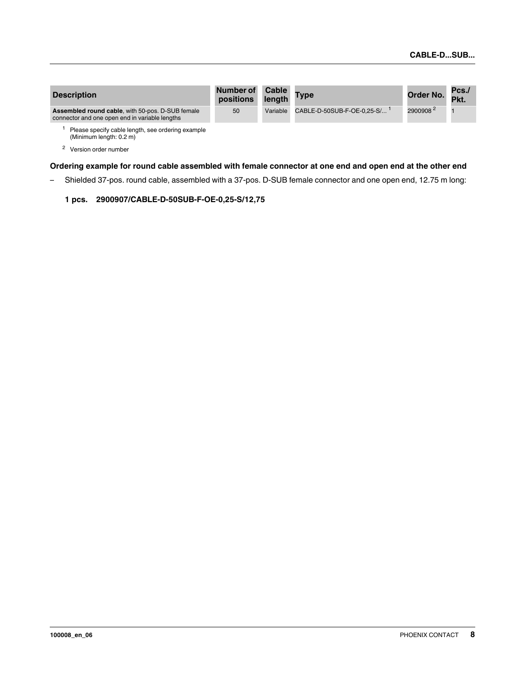| <b>Description</b>                                                                                        | <b>Number of</b><br>positions | Cable<br>length | <b>Type</b>                               | Order No. Pkt.       | Pcs./ |
|-----------------------------------------------------------------------------------------------------------|-------------------------------|-----------------|-------------------------------------------|----------------------|-------|
| <b>Assembled round cable, with 50-pos. D-SUB female</b><br>connector and one open end in variable lengths | 50                            | Variable        | $CABLE-D-50SUB-F-OE-0.25-S/$ <sup>1</sup> | 2900908 <sup>2</sup> |       |
| Please specify cable length, see ordering example<br>(Minimum length: 0.2 m)                              |                               |                 |                                           |                      |       |

<sup>2</sup> Version order number

**Ordering example for round cable assembled with female connector at one end and open end at the other end**

– Shielded 37-pos. round cable, assembled with a 37-pos. D-SUB female connector and one open end, 12.75 m long:

#### **1 pcs. 2900907/CABLE-D-50SUB-F-OE-0,25-S/12,75**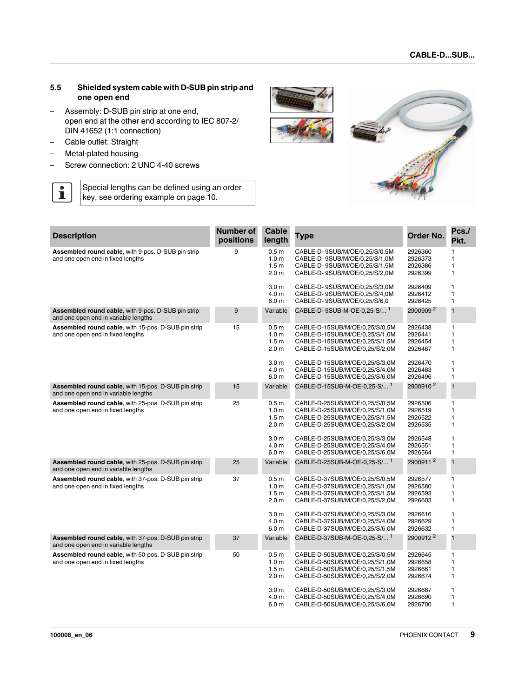#### <span id="page-8-0"></span>**5.5 Shielded system cable with D-SUB pin strip and one open end**

- Assembly: D-SUB pin strip at one end, open end at the other end according to IEC 807-2/ DIN 41652 (1:1 connection)
- Cable outlet: Straight
- Metal-plated housing
- Screw connection: 2 UNC 4-40 screws

Special lengths can be defined using an order  $\overline{\mathbf{i}}$ key, see ordering example on [page 10.](#page-9-1)



| <b>Description</b>                                                                                 | Number of<br>positions | <b>Cable</b><br>length                                                       | Type                                                                                                                                 | Order No.                                | Pcs./<br>Pkt.                                     |
|----------------------------------------------------------------------------------------------------|------------------------|------------------------------------------------------------------------------|--------------------------------------------------------------------------------------------------------------------------------------|------------------------------------------|---------------------------------------------------|
| Assembled round cable, with 9-pos. D-SUB pin strip<br>and one open end in fixed lengths            | 9                      | 0.5 <sub>m</sub><br>1.0 <sub>m</sub><br>1.5 <sub>m</sub><br>2.0 <sub>m</sub> | CABLE-D-9SUB/M/OE/0,25/S/0,5M<br>CABLE-D-9SUB/M/OE/0,25/S/1,0M<br>CABLE-D-9SUB/M/OE/0,25/S/1,5M<br>CABLE-D-9SUB/M/OE/0,25/S/2,0M     | 2926360<br>2926373<br>2926386<br>2926399 | $\mathbf{1}$<br>1<br>1<br>1                       |
|                                                                                                    |                        | 3.0 <sub>m</sub><br>4.0 <sub>m</sub><br>6.0 <sub>m</sub>                     | CABLE-D-9SUB/M/OE/0,25/S/3,0M<br>CABLE-D-9SUB/M/OE/0,25/S/4,0M<br>CABLE-D-9SUB/M/OE/0,25/S/6,0                                       | 2926409<br>2926412<br>2926425            | $\mathbf{1}$<br>1<br>$\mathbf{1}$                 |
| Assembled round cable, with 9-pos. D-SUB pin strip<br>and one open end in variable lengths         | 9                      | Variable                                                                     | CABLE-D-9SUB-M-OE-0,25-S/ <sup>1</sup>                                                                                               | 2900909 <sup>2</sup>                     | $\overline{1}$                                    |
| Assembled round cable, with 15-pos. D-SUB pin strip<br>and one open end in fixed lengths           | 15                     | 0.5 <sub>m</sub><br>1.0 <sub>m</sub><br>1.5 <sub>m</sub><br>2.0 <sub>m</sub> | CABLE-D-15SUB/M/OE/0,25/S/0,5M<br>CABLE-D-15SUB/M/OE/0,25/S/1,0M<br>CABLE-D-15SUB/M/OE/0,25/S/1,5M<br>CABLE-D-15SUB/M/OE/0,25/S/2,0M | 2926438<br>2926441<br>2926454<br>2926467 | 1<br>$\mathbf{1}$<br>$\mathbf{1}$<br>$\mathbf{1}$ |
|                                                                                                    |                        | 3.0 <sub>m</sub><br>4.0 m<br>6.0 <sub>m</sub>                                | CABLE-D-15SUB/M/OE/0,25/S/3,0M<br>CABLE-D-15SUB/M/OE/0,25/S/4,0M<br>CABLE-D-15SUB/M/OE/0,25/S/6,0M                                   | 2926470<br>2926483<br>2926496            | $\mathbf{1}$<br>1<br>$\mathbf{1}$                 |
| Assembled round cable, with 15-pos. D-SUB pin strip<br>and one open end in variable lengths        | 15                     | Variable                                                                     | CABLE-D-15SUB-M-OE-0,25-S/ <sup>1</sup>                                                                                              | 2900910 <sup>2</sup>                     | $\overline{\mathbf{1}}$                           |
| Assembled round cable, with 25-pos. D-SUB pin strip<br>and one open end in fixed lengths           | 25                     | 0.5 <sub>m</sub><br>1.0 <sub>m</sub><br>1.5 <sub>m</sub><br>2.0 <sub>m</sub> | CABLE-D-25SUB/M/OE/0,25/S/0,5M<br>CABLE-D-25SUB/M/OE/0,25/S/1,0M<br>CABLE-D-25SUB/M/OE/0,25/S/1,5M<br>CABLE-D-25SUB/M/OE/0,25/S/2,0M | 2926506<br>2926519<br>2926522<br>2926535 | 1<br>$\mathbf{1}$<br>1<br>$\mathbf{1}$            |
|                                                                                                    |                        | 3.0 <sub>m</sub><br>4.0 <sub>m</sub><br>6.0 <sub>m</sub>                     | CABLE-D-25SUB/M/OE/0,25/S/3,0M<br>CABLE-D-25SUB/M/OE/0,25/S/4,0M<br>CABLE-D-25SUB/M/OE/0,25/S/6,0M                                   | 2926548<br>2926551<br>2926564            | $\mathbf{1}$<br>$\mathbf{1}$<br>$\mathbf{1}$      |
| Assembled round cable, with 25-pos. D-SUB pin strip<br>and one open end in variable lengths        | 25                     | Variable                                                                     | CABLE-D-25SUB-M-OE-0,25-S/ <sup>1</sup>                                                                                              | 2900911 <sup>2</sup>                     | $\overline{1}$                                    |
| Assembled round cable, with 37-pos. D-SUB pin strip<br>and one open end in fixed lengths           | 37                     | 0.5 <sub>m</sub><br>1.0 <sub>m</sub><br>1.5 <sub>m</sub><br>2.0 <sub>m</sub> | CABLE-D-37SUB/M/OE/0,25/S/0,5M<br>CABLE-D-37SUB/M/OE/0,25/S/1,0M<br>CABLE-D-37SUB/M/OE/0,25/S/1,5M<br>CABLE-D-37SUB/M/OE/0,25/S/2,0M | 2926577<br>2926580<br>2926593<br>2926603 | 1<br>$\mathbf{1}$<br>$\mathbf{1}$<br>$\mathbf{1}$ |
|                                                                                                    |                        | 3.0 <sub>m</sub><br>4.0 <sub>m</sub><br>6.0 <sub>m</sub>                     | CABLE-D-37SUB/M/OE/0,25/S/3,0M<br>CABLE-D-37SUB/M/OE/0,25/S/4,0M<br>CABLE-D-37SUB/M/OE/0,25/S/6,0M                                   | 2926616<br>2926629<br>2926632            | 1<br>1<br>$\mathbf{1}$                            |
| <b>Assembled round cable, with 37-pos. D-SUB pin strip</b><br>and one open end in variable lengths | 37                     | Variable                                                                     | CABLE-D-37SUB-M-OE-0,25-S/ <sup>1</sup>                                                                                              | 2900912 <sup>2</sup>                     | $\mathbf{1}$                                      |
| Assembled round cable, with 50-pos. D-SUB pin strip<br>and one open end in fixed lengths           | 50                     | 0.5 <sub>m</sub><br>1.0 <sub>m</sub><br>1.5 <sub>m</sub><br>2.0 <sub>m</sub> | CABLE-D-50SUB/M/OE/0,25/S/0,5M<br>CABLE-D-50SUB/M/OE/0,25/S/1,0M<br>CABLE-D-50SUB/M/OE/0,25/S/1,5M<br>CABLE-D-50SUB/M/OE/0,25/S/2,0M | 2926645<br>2926658<br>2926661<br>2926674 | $\mathbf{1}$<br>1<br>1<br>$\mathbf{1}$            |
|                                                                                                    |                        | 3.0 <sub>m</sub><br>4.0 <sub>m</sub><br>6.0 <sub>m</sub>                     | CABLE-D-50SUB/M/OE/0,25/S/3,0M<br>CABLE-D-50SUB/M/OE/0,25/S/4,0M<br>CABLE-D-50SUB/M/OE/0,25/S/6,0M                                   | 2926687<br>2926690<br>2926700            | $\mathbf{1}$<br>1<br>$\mathbf{1}$                 |